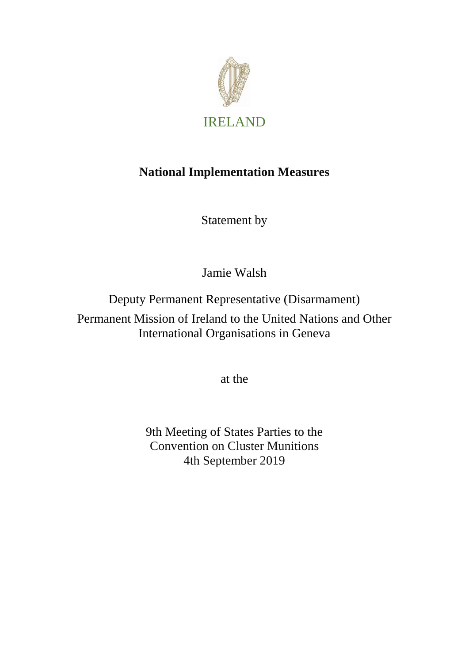

## **National Implementation Measures**

Statement by

Jamie Walsh

Deputy Permanent Representative (Disarmament)

Permanent Mission of Ireland to the United Nations and Other International Organisations in Geneva

at the

9th Meeting of States Parties to the Convention on Cluster Munitions 4th September 2019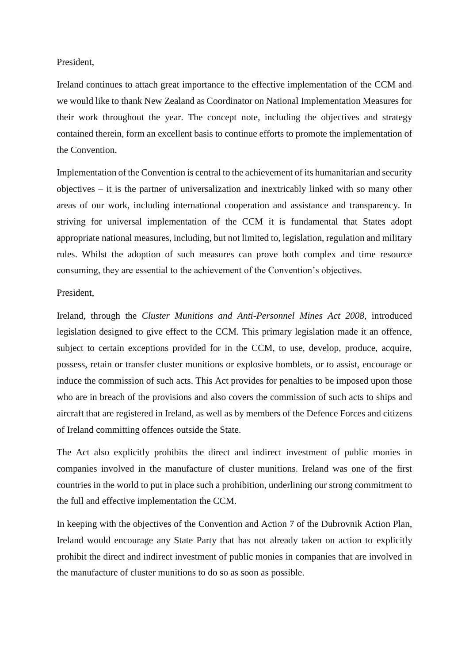## President,

Ireland continues to attach great importance to the effective implementation of the CCM and we would like to thank New Zealand as Coordinator on National Implementation Measures for their work throughout the year. The concept note, including the objectives and strategy contained therein, form an excellent basis to continue efforts to promote the implementation of the Convention.

Implementation of the Convention is central to the achievement of its humanitarian and security objectives – it is the partner of universalization and inextricably linked with so many other areas of our work, including international cooperation and assistance and transparency. In striving for universal implementation of the CCM it is fundamental that States adopt appropriate national measures, including, but not limited to, legislation, regulation and military rules. Whilst the adoption of such measures can prove both complex and time resource consuming, they are essential to the achievement of the Convention's objectives.

## President,

Ireland, through the *Cluster Munitions and Anti-Personnel Mines Act 2008*, introduced legislation designed to give effect to the CCM. This primary legislation made it an offence, subject to certain exceptions provided for in the CCM, to use, develop, produce, acquire, possess, retain or transfer cluster munitions or explosive bomblets, or to assist, encourage or induce the commission of such acts. This Act provides for penalties to be imposed upon those who are in breach of the provisions and also covers the commission of such acts to ships and aircraft that are registered in Ireland, as well as by members of the Defence Forces and citizens of Ireland committing offences outside the State.

The Act also explicitly prohibits the direct and indirect investment of public monies in companies involved in the manufacture of cluster munitions. Ireland was one of the first countries in the world to put in place such a prohibition, underlining our strong commitment to the full and effective implementation the CCM.

In keeping with the objectives of the Convention and Action 7 of the Dubrovnik Action Plan, Ireland would encourage any State Party that has not already taken on action to explicitly prohibit the direct and indirect investment of public monies in companies that are involved in the manufacture of cluster munitions to do so as soon as possible.